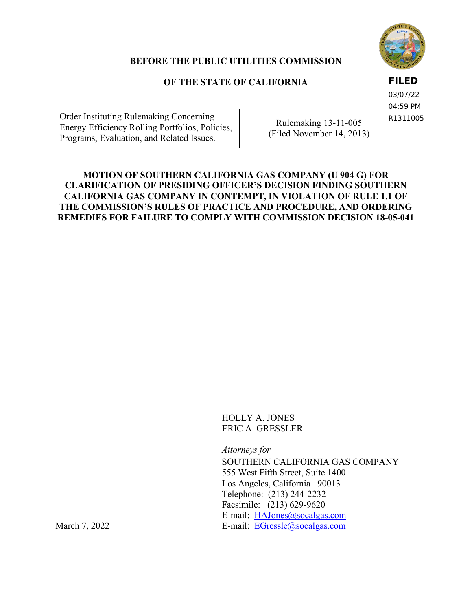

# **BEFORE THE PUBLIC UTILITIES COMMISSION**

# **OF THE STATE OF CALIFORNIA**

**FILED**

03/07/22 04:59 PM R1311005

Order Instituting Rulemaking Concerning Energy Efficiency Rolling Portfolios, Policies, Programs, Evaluation, and Related Issues.

Rulemaking 13-11-005 (Filed November 14, 2013)

# **MOTION OF SOUTHERN CALIFORNIA GAS COMPANY (U 904 G) FOR CLARIFICATION OF PRESIDING OFFICER'S DECISION FINDING SOUTHERN CALIFORNIA GAS COMPANY IN CONTEMPT, IN VIOLATION OF RULE 1.1 OF THE COMMISSION'S RULES OF PRACTICE AND PROCEDURE, AND ORDERING REMEDIES FOR FAILURE TO COMPLY WITH COMMISSION DECISION 18-05-041**

HOLLY A. JONES ERIC A. GRESSLER

*Attorneys for* 

SOUTHERN CALIFORNIA GAS COMPANY 555 West Fifth Street, Suite 1400 Los Angeles, California 90013 Telephone: (213) 244-2232 Facsimile: (213) 629-9620 E-mail: [HAJones@socalgas.com](mailto:HAJones@socalgas.com) March 7, 2022 E-mail: [EGressle@socalgas.com](mailto:EGressle@socalgas.com)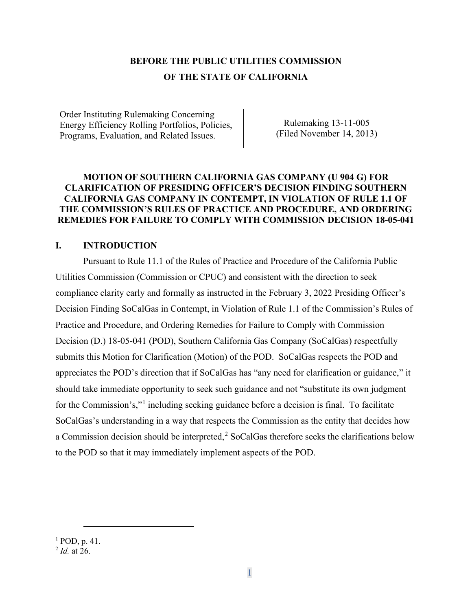# **BEFORE THE PUBLIC UTILITIES COMMISSION OF THE STATE OF CALIFORNIA**

Order Instituting Rulemaking Concerning Energy Efficiency Rolling Portfolios, Policies, Programs, Evaluation, and Related Issues.

Rulemaking 13-11-005 (Filed November 14, 2013)

#### **MOTION OF SOUTHERN CALIFORNIA GAS COMPANY (U 904 G) FOR CLARIFICATION OF PRESIDING OFFICER'S DECISION FINDING SOUTHERN CALIFORNIA GAS COMPANY IN CONTEMPT, IN VIOLATION OF RULE 1.1 OF THE COMMISSION'S RULES OF PRACTICE AND PROCEDURE, AND ORDERING REMEDIES FOR FAILURE TO COMPLY WITH COMMISSION DECISION 18-05-041**

## **I. INTRODUCTION**

Pursuant to Rule 11.1 of the Rules of Practice and Procedure of the California Public Utilities Commission (Commission or CPUC) and consistent with the direction to seek compliance clarity early and formally as instructed in the February 3, 2022 Presiding Officer's Decision Finding SoCalGas in Contempt, in Violation of Rule 1.1 of the Commission's Rules of Practice and Procedure, and Ordering Remedies for Failure to Comply with Commission Decision (D.) 18-05-041 (POD), Southern California Gas Company (SoCalGas) respectfully submits this Motion for Clarification (Motion) of the POD. SoCalGas respects the POD and appreciates the POD's direction that if SoCalGas has "any need for clarification or guidance," it should take immediate opportunity to seek such guidance and not "substitute its own judgment for the Commission's,"<sup>[1](#page-1-0)</sup> including seeking guidance before a decision is final. To facilitate SoCalGas's understanding in a way that respects the Commission as the entity that decides how a Commission decision should be interpreted,<sup>[2](#page-1-1)</sup> SoCalGas therefore seeks the clarifications below to the POD so that it may immediately implement aspects of the POD.

<sup>1</sup> POD, p. 41.

<span id="page-1-1"></span><span id="page-1-0"></span><sup>2</sup> *Id.* at 26.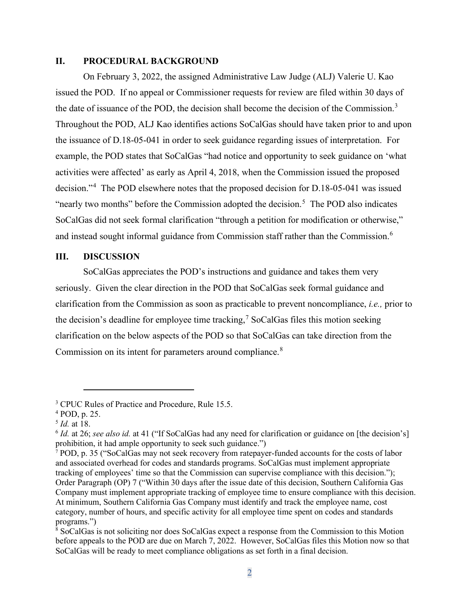#### **II. PROCEDURAL BACKGROUND**

On February 3, 2022, the assigned Administrative Law Judge (ALJ) Valerie U. Kao issued the POD. If no appeal or Commissioner requests for review are filed within 30 days of the date of issuance of the POD, the decision shall become the decision of the Commission.<sup>[3](#page-2-0)</sup> Throughout the POD, ALJ Kao identifies actions SoCalGas should have taken prior to and upon the issuance of D.18-05-041 in order to seek guidance regarding issues of interpretation. For example, the POD states that SoCalGas "had notice and opportunity to seek guidance on 'what activities were affected' as early as April 4, 2018, when the Commission issued the proposed decision."[4](#page-2-1) The POD elsewhere notes that the proposed decision for D.18-05-041 was issued "nearly two months" before the Commission adopted the decision.<sup>[5](#page-2-2)</sup> The POD also indicates SoCalGas did not seek formal clarification "through a petition for modification or otherwise," and instead sought informal guidance from Commission staff rather than the Commission.<sup>[6](#page-2-3)</sup>

#### **III. DISCUSSION**

SoCalGas appreciates the POD's instructions and guidance and takes them very seriously. Given the clear direction in the POD that SoCalGas seek formal guidance and clarification from the Commission as soon as practicable to prevent noncompliance, *i.e.,* prior to the decision's deadline for employee time tracking,<sup>[7](#page-2-4)</sup> SoCalGas files this motion seeking clarification on the below aspects of the POD so that SoCalGas can take direction from the Commission on its intent for parameters around compliance.<sup>[8](#page-2-5)</sup>

<span id="page-2-0"></span><sup>&</sup>lt;sup>3</sup> CPUC Rules of Practice and Procedure, Rule 15.5.

<span id="page-2-1"></span><sup>4</sup> POD, p. 25.

<span id="page-2-2"></span><sup>5</sup> *Id.* at 18.

<span id="page-2-3"></span><sup>6</sup> *Id.* at 26; *see also id.* at 41 ("If SoCalGas had any need for clarification or guidance on [the decision's] prohibition, it had ample opportunity to seek such guidance.")

<span id="page-2-4"></span><sup>7</sup> POD, p. 35 ("SoCalGas may not seek recovery from ratepayer-funded accounts for the costs of labor and associated overhead for codes and standards programs. SoCalGas must implement appropriate tracking of employees' time so that the Commission can supervise compliance with this decision."); Order Paragraph (OP) 7 ("Within 30 days after the issue date of this decision, Southern California Gas Company must implement appropriate tracking of employee time to ensure compliance with this decision. At minimum, Southern California Gas Company must identify and track the employee name, cost category, number of hours, and specific activity for all employee time spent on codes and standards programs.")

<span id="page-2-5"></span><sup>&</sup>lt;sup>8</sup> SoCalGas is not soliciting nor does SoCalGas expect a response from the Commission to this Motion before appeals to the POD are due on March 7, 2022. However, SoCalGas files this Motion now so that SoCalGas will be ready to meet compliance obligations as set forth in a final decision.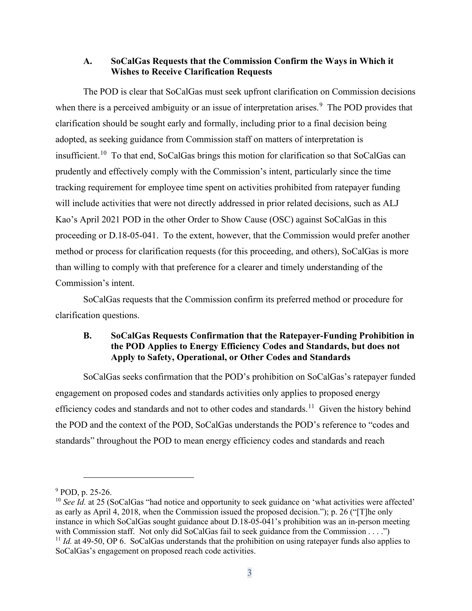#### **A. SoCalGas Requests that the Commission Confirm the Ways in Which it Wishes to Receive Clarification Requests**

The POD is clear that SoCalGas must seek upfront clarification on Commission decisions when there is a perceived ambiguity or an issue of interpretation arises.<sup>[9](#page-3-0)</sup> The POD provides that clarification should be sought early and formally, including prior to a final decision being adopted, as seeking guidance from Commission staff on matters of interpretation is insufficient.[10](#page-3-1) To that end, SoCalGas brings this motion for clarification so that SoCalGas can prudently and effectively comply with the Commission's intent, particularly since the time tracking requirement for employee time spent on activities prohibited from ratepayer funding will include activities that were not directly addressed in prior related decisions, such as ALJ Kao's April 2021 POD in the other Order to Show Cause (OSC) against SoCalGas in this proceeding or D.18-05-041. To the extent, however, that the Commission would prefer another method or process for clarification requests (for this proceeding, and others), SoCalGas is more than willing to comply with that preference for a clearer and timely understanding of the Commission's intent.

SoCalGas requests that the Commission confirm its preferred method or procedure for clarification questions.

# **B. SoCalGas Requests Confirmation that the Ratepayer-Funding Prohibition in the POD Applies to Energy Efficiency Codes and Standards, but does not Apply to Safety, Operational, or Other Codes and Standards**

SoCalGas seeks confirmation that the POD's prohibition on SoCalGas's ratepayer funded engagement on proposed codes and standards activities only applies to proposed energy efficiency codes and standards and not to other codes and standards.<sup>[11](#page-3-2)</sup> Given the history behind the POD and the context of the POD, SoCalGas understands the POD's reference to "codes and standards" throughout the POD to mean energy efficiency codes and standards and reach

<span id="page-3-0"></span><sup>9</sup> POD, p. 25-26.

<span id="page-3-2"></span><span id="page-3-1"></span><sup>&</sup>lt;sup>10</sup> *See Id.* at 25 (SoCalGas "had notice and opportunity to seek guidance on 'what activities were affected' as early as April 4, 2018, when the Commission issued the proposed decision."); p. 26 ("[T]he only instance in which SoCalGas sought guidance about D.18-05-041's prohibition was an in-person meeting with Commission staff. Not only did SoCalGas fail to seek guidance from the Commission . . . .") <sup>11</sup> *Id.* at 49-50, OP 6. SoCalGas understands that the prohibition on using ratepayer funds also applies to SoCalGas's engagement on proposed reach code activities.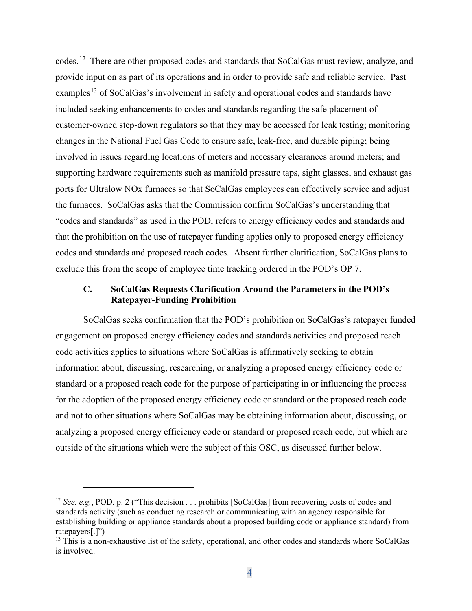codes.<sup>[12](#page-4-0)</sup> There are other proposed codes and standards that SoCalGas must review, analyze, and provide input on as part of its operations and in order to provide safe and reliable service. Past examples<sup>[13](#page-4-1)</sup> of SoCalGas's involvement in safety and operational codes and standards have included seeking enhancements to codes and standards regarding the safe placement of customer-owned step-down regulators so that they may be accessed for leak testing; monitoring changes in the National Fuel Gas Code to ensure safe, leak-free, and durable piping; being involved in issues regarding locations of meters and necessary clearances around meters; and supporting hardware requirements such as manifold pressure taps, sight glasses, and exhaust gas ports for Ultralow NOx furnaces so that SoCalGas employees can effectively service and adjust the furnaces. SoCalGas asks that the Commission confirm SoCalGas's understanding that "codes and standards" as used in the POD, refers to energy efficiency codes and standards and that the prohibition on the use of ratepayer funding applies only to proposed energy efficiency codes and standards and proposed reach codes. Absent further clarification, SoCalGas plans to exclude this from the scope of employee time tracking ordered in the POD's OP 7.

# **C. SoCalGas Requests Clarification Around the Parameters in the POD's Ratepayer-Funding Prohibition**

SoCalGas seeks confirmation that the POD's prohibition on SoCalGas's ratepayer funded engagement on proposed energy efficiency codes and standards activities and proposed reach code activities applies to situations where SoCalGas is affirmatively seeking to obtain information about, discussing, researching, or analyzing a proposed energy efficiency code or standard or a proposed reach code for the purpose of participating in or influencing the process for the adoption of the proposed energy efficiency code or standard or the proposed reach code and not to other situations where SoCalGas may be obtaining information about, discussing, or analyzing a proposed energy efficiency code or standard or proposed reach code, but which are outside of the situations which were the subject of this OSC, as discussed further below.

<span id="page-4-0"></span><sup>12</sup> *See*, *e.g.*, POD, p. 2 ("This decision . . . prohibits [SoCalGas] from recovering costs of codes and standards activity (such as conducting research or communicating with an agency responsible for establishing building or appliance standards about a proposed building code or appliance standard) from ratepayers[.]")

<span id="page-4-1"></span><sup>&</sup>lt;sup>13</sup> This is a non-exhaustive list of the safety, operational, and other codes and standards where SoCalGas is involved.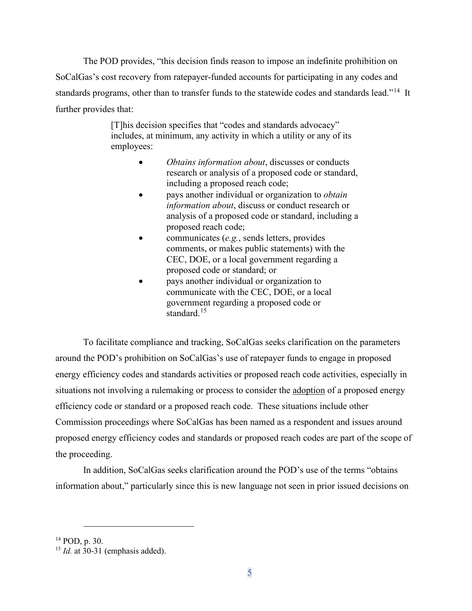The POD provides, "this decision finds reason to impose an indefinite prohibition on SoCalGas's cost recovery from ratepayer-funded accounts for participating in any codes and standards programs, other than to transfer funds to the statewide codes and standards lead."<sup>[14](#page-5-0)</sup> It further provides that:

> [T]his decision specifies that "codes and standards advocacy" includes, at minimum, any activity in which a utility or any of its employees:

- *Obtains information about*, discusses or conducts research or analysis of a proposed code or standard, including a proposed reach code;
- pays another individual or organization to *obtain information about*, discuss or conduct research or analysis of a proposed code or standard, including a proposed reach code;
- communicates (*e.g.*, sends letters, provides comments, or makes public statements) with the CEC, DOE, or a local government regarding a proposed code or standard; or
- pays another individual or organization to communicate with the CEC, DOE, or a local government regarding a proposed code or standard.<sup>[15](#page-5-1)</sup>

To facilitate compliance and tracking, SoCalGas seeks clarification on the parameters around the POD's prohibition on SoCalGas's use of ratepayer funds to engage in proposed energy efficiency codes and standards activities or proposed reach code activities, especially in situations not involving a rulemaking or process to consider the adoption of a proposed energy efficiency code or standard or a proposed reach code. These situations include other Commission proceedings where SoCalGas has been named as a respondent and issues around proposed energy efficiency codes and standards or proposed reach codes are part of the scope of the proceeding.

In addition, SoCalGas seeks clarification around the POD's use of the terms "obtains information about," particularly since this is new language not seen in prior issued decisions on

<span id="page-5-0"></span> $14$  POD, p. 30.

<span id="page-5-1"></span><sup>&</sup>lt;sup>15</sup> *Id.* at 30-31 (emphasis added).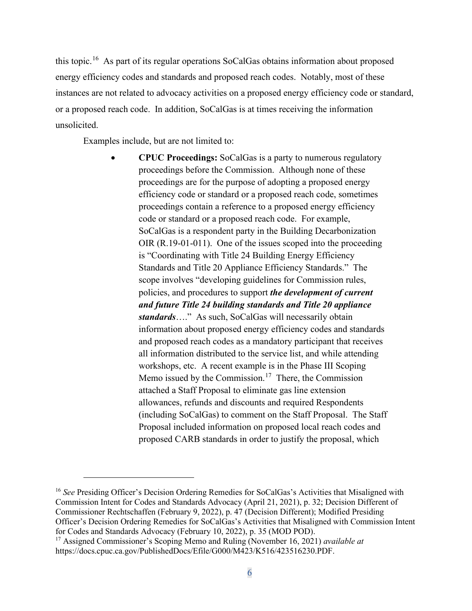this topic.<sup>[16](#page-6-0)</sup> As part of its regular operations SoCalGas obtains information about proposed energy efficiency codes and standards and proposed reach codes. Notably, most of these instances are not related to advocacy activities on a proposed energy efficiency code or standard, or a proposed reach code. In addition, SoCalGas is at times receiving the information unsolicited.

Examples include, but are not limited to:

• **CPUC Proceedings:** SoCalGas is a party to numerous regulatory proceedings before the Commission. Although none of these proceedings are for the purpose of adopting a proposed energy efficiency code or standard or a proposed reach code, sometimes proceedings contain a reference to a proposed energy efficiency code or standard or a proposed reach code. For example, SoCalGas is a respondent party in the Building Decarbonization OIR (R.19-01-011). One of the issues scoped into the proceeding is "Coordinating with Title 24 Building Energy Efficiency Standards and Title 20 Appliance Efficiency Standards." The scope involves "developing guidelines for Commission rules, policies, and procedures to support *the development of current and future Title 24 building standards and Title 20 appliance standards*…." As such, SoCalGas will necessarily obtain information about proposed energy efficiency codes and standards and proposed reach codes as a mandatory participant that receives all information distributed to the service list, and while attending workshops, etc. A recent example is in the Phase III Scoping Memo issued by the Commission.<sup>[17](#page-6-1)</sup> There, the Commission attached a Staff Proposal to eliminate gas line extension allowances, refunds and discounts and required Respondents (including SoCalGas) to comment on the Staff Proposal. The Staff Proposal included information on proposed local reach codes and proposed CARB standards in order to justify the proposal, which

<span id="page-6-0"></span><sup>&</sup>lt;sup>16</sup> See Presiding Officer's Decision Ordering Remedies for SoCalGas's Activities that Misaligned with Commission Intent for Codes and Standards Advocacy (April 21, 2021), p. 32; Decision Different of Commissioner Rechtschaffen (February 9, 2022), p. 47 (Decision Different); Modified Presiding Officer's Decision Ordering Remedies for SoCalGas's Activities that Misaligned with Commission Intent for Codes and Standards Advocacy (February 10, 2022), p. 35 (MOD POD). 17 Assigned Commissioner's Scoping Memo and Ruling (November 16, 2021) *available at*

<span id="page-6-1"></span>https://docs.cpuc.ca.gov/PublishedDocs/Efile/G000/M423/K516/423516230.PDF.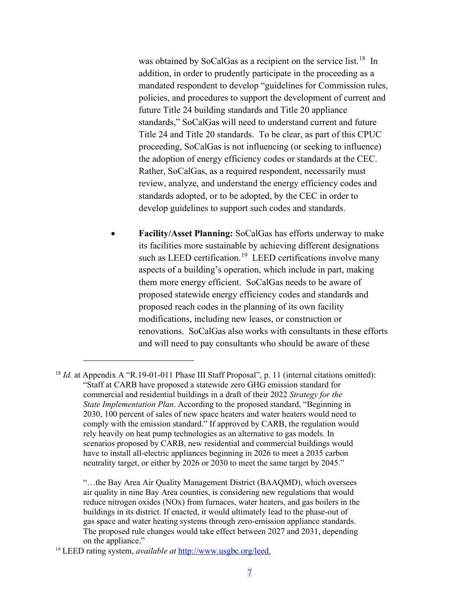was obtained by SoCalGas as a recipient on the service list.<sup>[18](#page-7-0)</sup> In addition, in order to prudently participate in the proceeding as a mandated respondent to develop "guidelines for Commission rules, policies, and procedures to support the development of current and future Title 24 building standards and Title 20 appliance standards," SoCalGas will need to understand current and future Title 24 and Title 20 standards. To be clear, as part of this CPUC proceeding, SoCalGas is not influencing (or seeking to influence) the adoption of energy efficiency codes or standards at the CEC. Rather, SoCalGas, as a required respondent, necessarily must review, analyze, and understand the energy efficiency codes and standards adopted, or to be adopted, by the CEC in order to develop guidelines to support such codes and standards.

• **Facility/Asset Planning:** SoCalGas has efforts underway to make its facilities more sustainable by achieving different designations such as LEED certification.<sup>[19](#page-7-1)</sup> LEED certifications involve many aspects of a building's operation, which include in part, making them more energy efficient. SoCalGas needs to be aware of proposed statewide energy efficiency codes and standards and proposed reach codes in the planning of its own facility modifications, including new leases, or construction or renovations. SoCalGas also works with consultants in these efforts and will need to pay consultants who should be aware of these

<span id="page-7-0"></span><sup>&</sup>lt;sup>18</sup> *Id.* at Appendix A "R.19-01-011 Phase III Staff Proposal", p. 11 (internal citations omitted): "Staff at CARB have proposed a statewide zero GHG emission standard for commercial and residential buildings in a draft of their 2022 *Strategy for the State Implementation Plan*. According to the proposed standard, "Beginning in 2030, 100 percent of sales of new space heaters and water heaters would need to comply with the emission standard." If approved by CARB, the regulation would rely heavily on heat pump technologies as an alternative to gas models. In scenarios proposed by CARB, new residential and commercial buildings would have to install all-electric appliances beginning in 2026 to meet a 2035 carbon neutrality target, or either by 2026 or 2030 to meet the same target by 2045."

<sup>&</sup>quot;…the Bay Area Air Quality Management District (BAAQMD), which oversees air quality in nine Bay Area counties, is considering new regulations that would reduce nitrogen oxides (NOx) from furnaces, water heaters, and gas boilers in the buildings in its district. If enacted, it would ultimately lead to the phase-out of gas space and water heating systems through zero-emission appliance standards. The proposed rule changes would take effect between 2027 and 2031, depending on the appliance."

<span id="page-7-1"></span><sup>19</sup> LEED rating system, *available at* [http://www.usgbc.org/leed.](http://www.usgbc.org/leed)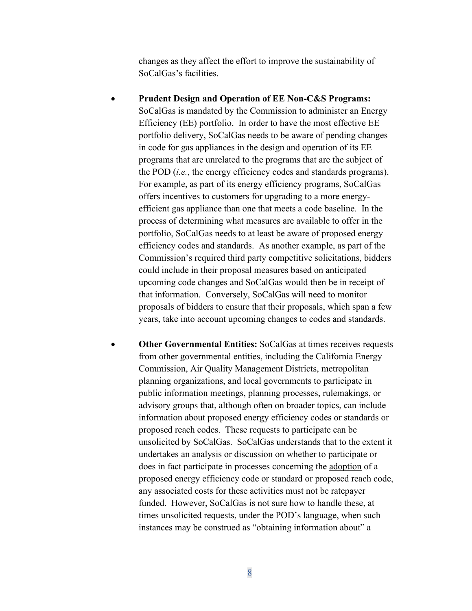changes as they affect the effort to improve the sustainability of SoCalGas's facilities.

- **Prudent Design and Operation of EE Non-C&S Programs:** SoCalGas is mandated by the Commission to administer an Energy Efficiency (EE) portfolio. In order to have the most effective EE portfolio delivery, SoCalGas needs to be aware of pending changes in code for gas appliances in the design and operation of its EE programs that are unrelated to the programs that are the subject of the POD (*i.e.*, the energy efficiency codes and standards programs). For example, as part of its energy efficiency programs, SoCalGas offers incentives to customers for upgrading to a more energyefficient gas appliance than one that meets a code baseline. In the process of determining what measures are available to offer in the portfolio, SoCalGas needs to at least be aware of proposed energy efficiency codes and standards. As another example, as part of the Commission's required third party competitive solicitations, bidders could include in their proposal measures based on anticipated upcoming code changes and SoCalGas would then be in receipt of that information. Conversely, SoCalGas will need to monitor proposals of bidders to ensure that their proposals, which span a few years, take into account upcoming changes to codes and standards.
- **Other Governmental Entities:** SoCalGas at times receives requests from other governmental entities, including the California Energy Commission, Air Quality Management Districts, metropolitan planning organizations, and local governments to participate in public information meetings, planning processes, rulemakings, or advisory groups that, although often on broader topics, can include information about proposed energy efficiency codes or standards or proposed reach codes. These requests to participate can be unsolicited by SoCalGas. SoCalGas understands that to the extent it undertakes an analysis or discussion on whether to participate or does in fact participate in processes concerning the adoption of a proposed energy efficiency code or standard or proposed reach code, any associated costs for these activities must not be ratepayer funded. However, SoCalGas is not sure how to handle these, at times unsolicited requests, under the POD's language, when such instances may be construed as "obtaining information about" a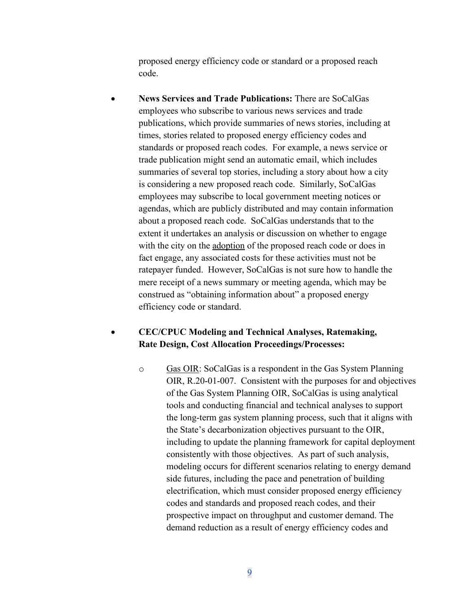proposed energy efficiency code or standard or a proposed reach code.

• **News Services and Trade Publications:** There are SoCalGas employees who subscribe to various news services and trade publications, which provide summaries of news stories, including at times, stories related to proposed energy efficiency codes and standards or proposed reach codes. For example, a news service or trade publication might send an automatic email, which includes summaries of several top stories, including a story about how a city is considering a new proposed reach code. Similarly, SoCalGas employees may subscribe to local government meeting notices or agendas, which are publicly distributed and may contain information about a proposed reach code. SoCalGas understands that to the extent it undertakes an analysis or discussion on whether to engage with the city on the adoption of the proposed reach code or does in fact engage, any associated costs for these activities must not be ratepayer funded. However, SoCalGas is not sure how to handle the mere receipt of a news summary or meeting agenda, which may be construed as "obtaining information about" a proposed energy efficiency code or standard.

# • **CEC/CPUC Modeling and Technical Analyses, Ratemaking, Rate Design, Cost Allocation Proceedings/Processes:**

o Gas OIR: SoCalGas is a respondent in the Gas System Planning OIR, R.20-01-007. Consistent with the purposes for and objectives of the Gas System Planning OIR, SoCalGas is using analytical tools and conducting financial and technical analyses to support the long-term gas system planning process, such that it aligns with the State's decarbonization objectives pursuant to the OIR, including to update the planning framework for capital deployment consistently with those objectives. As part of such analysis, modeling occurs for different scenarios relating to energy demand side futures, including the pace and penetration of building electrification, which must consider proposed energy efficiency codes and standards and proposed reach codes, and their prospective impact on throughput and customer demand. The demand reduction as a result of energy efficiency codes and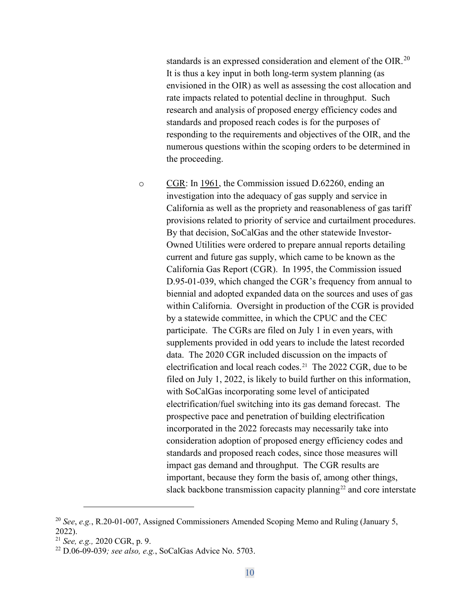standards is an expressed consideration and element of the OIR.<sup>20</sup> It is thus a key input in both long-term system planning (as envisioned in the OIR) as well as assessing the cost allocation and rate impacts related to potential decline in throughput. Such research and analysis of proposed energy efficiency codes and standards and proposed reach codes is for the purposes of responding to the requirements and objectives of the OIR, and the numerous questions within the scoping orders to be determined in the proceeding.

o CGR: In 1961, the Commission issued D.62260, ending an investigation into the adequacy of gas supply and service in California as well as the propriety and reasonableness of gas tariff provisions related to priority of service and curtailment procedures. By that decision, SoCalGas and the other statewide Investor-Owned Utilities were ordered to prepare annual reports detailing current and future gas supply, which came to be known as the California Gas Report (CGR). In 1995, the Commission issued D.95-01-039, which changed the CGR's frequency from annual to biennial and adopted expanded data on the sources and uses of gas within California. Oversight in production of the CGR is provided by a statewide committee, in which the CPUC and the CEC participate. The CGRs are filed on July 1 in even years, with supplements provided in odd years to include the latest recorded data. The 2020 CGR included discussion on the impacts of electrification and local reach codes.<sup>[21](#page-10-1)</sup> The 2022 CGR, due to be filed on July 1, 2022, is likely to build further on this information, with SoCalGas incorporating some level of anticipated electrification/fuel switching into its gas demand forecast. The prospective pace and penetration of building electrification incorporated in the 2022 forecasts may necessarily take into consideration adoption of proposed energy efficiency codes and standards and proposed reach codes, since those measures will impact gas demand and throughput. The CGR results are important, because they form the basis of, among other things, slack backbone transmission capacity planning<sup>[22](#page-10-2)</sup> and core interstate

<span id="page-10-0"></span><sup>20</sup> *See*, *e.g.*, R.20-01-007, Assigned Commissioners Amended Scoping Memo and Ruling (January 5, 2022).

<span id="page-10-1"></span><sup>21</sup> *See, e.g.,* 2020 CGR, p. 9.

<span id="page-10-2"></span><sup>22</sup> D.06-09-039*; see also, e.g.*, SoCalGas Advice No. 5703.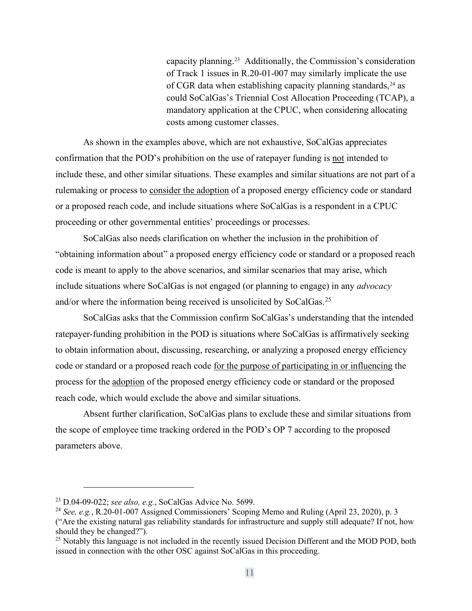capacity planning.[23](#page-11-0) Additionally, the Commission's consideration of Track 1 issues in R.20-01-007 may similarly implicate the use of CGR data when establishing capacity planning standards,  $24$  as could SoCalGas's Triennial Cost Allocation Proceeding (TCAP), a mandatory application at the CPUC, when considering allocating costs among customer classes.

As shown in the examples above, which are not exhaustive, SoCalGas appreciates confirmation that the POD's prohibition on the use of ratepayer funding is not intended to include these, and other similar situations. These examples and similar situations are not part of a rulemaking or process to consider the adoption of a proposed energy efficiency code or standard or a proposed reach code, and include situations where SoCalGas is a respondent in a CPUC proceeding or other governmental entities' proceedings or processes.

SoCalGas also needs clarification on whether the inclusion in the prohibition of "obtaining information about" a proposed energy efficiency code or standard or a proposed reach code is meant to apply to the above scenarios, and similar scenarios that may arise, which include situations where SoCalGas is not engaged (or planning to engage) in any *advocacy* and/or where the information being received is unsolicited by SoCalGas.[25](#page-11-2) 

SoCalGas asks that the Commission confirm SoCalGas's understanding that the intended ratepayer-funding prohibition in the POD is situations where SoCalGas is affirmatively seeking to obtain information about, discussing, researching, or analyzing a proposed energy efficiency code or standard or a proposed reach code for the purpose of participating in or influencing the process for the adoption of the proposed energy efficiency code or standard or the proposed reach code, which would exclude the above and similar situations.

Absent further clarification, SoCalGas plans to exclude these and similar situations from the scope of employee time tracking ordered in the POD's OP 7 according to the proposed parameters above.

<span id="page-11-0"></span><sup>23</sup> D.04-09-022; *see also, e.g.*, SoCalGas Advice No. 5699.

<span id="page-11-1"></span><sup>24</sup> *See, e.g.*, R.20-01-007 Assigned Commissioners' Scoping Memo and Ruling (April 23, 2020), p. 3

<sup>(&</sup>quot;Are the existing natural gas reliability standards for infrastructure and supply still adequate? If not, how should they be changed?").

<span id="page-11-2"></span><sup>&</sup>lt;sup>25</sup> Notably this language is not included in the recently issued Decision Different and the MOD POD, both issued in connection with the other OSC against SoCalGas in this proceeding.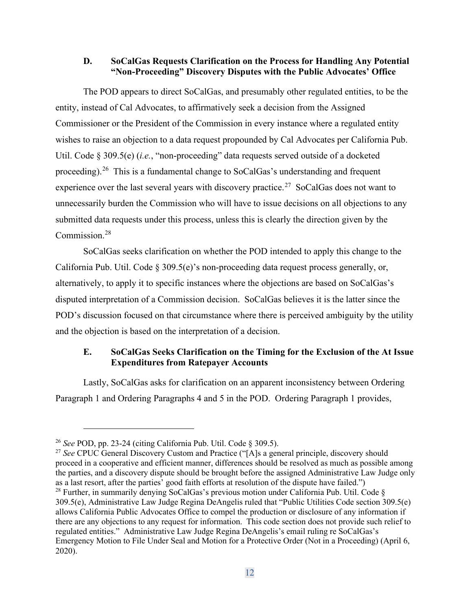#### **D. SoCalGas Requests Clarification on the Process for Handling Any Potential "Non-Proceeding" Discovery Disputes with the Public Advocates' Office**

The POD appears to direct SoCalGas, and presumably other regulated entities, to be the entity, instead of Cal Advocates, to affirmatively seek a decision from the Assigned Commissioner or the President of the Commission in every instance where a regulated entity wishes to raise an objection to a data request propounded by Cal Advocates per California Pub. Util. Code § 309.5(e) (*i.e.*, "non-proceeding" data requests served outside of a docketed proceeding).[26](#page-12-0) This is a fundamental change to SoCalGas's understanding and frequent experience over the last several years with discovery practice.<sup>27</sup> SoCalGas does not want to unnecessarily burden the Commission who will have to issue decisions on all objections to any submitted data requests under this process, unless this is clearly the direction given by the Commission. [28](#page-12-2)

SoCalGas seeks clarification on whether the POD intended to apply this change to the California Pub. Util. Code § 309.5(e)'s non-proceeding data request process generally, or, alternatively, to apply it to specific instances where the objections are based on SoCalGas's disputed interpretation of a Commission decision. SoCalGas believes it is the latter since the POD's discussion focused on that circumstance where there is perceived ambiguity by the utility and the objection is based on the interpretation of a decision.

## **E. SoCalGas Seeks Clarification on the Timing for the Exclusion of the At Issue Expenditures from Ratepayer Accounts**

Lastly, SoCalGas asks for clarification on an apparent inconsistency between Ordering Paragraph 1 and Ordering Paragraphs 4 and 5 in the POD. Ordering Paragraph 1 provides,

<span id="page-12-0"></span><sup>26</sup> *See* POD, pp. 23-24 (citing California Pub. Util. Code § 309.5).

<span id="page-12-2"></span><span id="page-12-1"></span><sup>&</sup>lt;sup>27</sup> See CPUC General Discovery Custom and Practice ("[A]s a general principle, discovery should proceed in a cooperative and efficient manner, differences should be resolved as much as possible among the parties, and a discovery dispute should be brought before the assigned Administrative Law Judge only as a last resort, after the parties' good faith efforts at resolution of the dispute have failed.") <sup>28</sup> Further, in summarily denying SoCalGas's previous motion under California Pub. Util. Code § 309.5(e), Administrative Law Judge Regina DeAngelis ruled that "Public Utilities Code section 309.5(e) allows California Public Advocates Office to compel the production or disclosure of any information if there are any objections to any request for information. This code section does not provide such relief to regulated entities." Administrative Law Judge Regina DeAngelis's email ruling re SoCalGas's Emergency Motion to File Under Seal and Motion for a Protective Order (Not in a Proceeding) (April 6, 2020).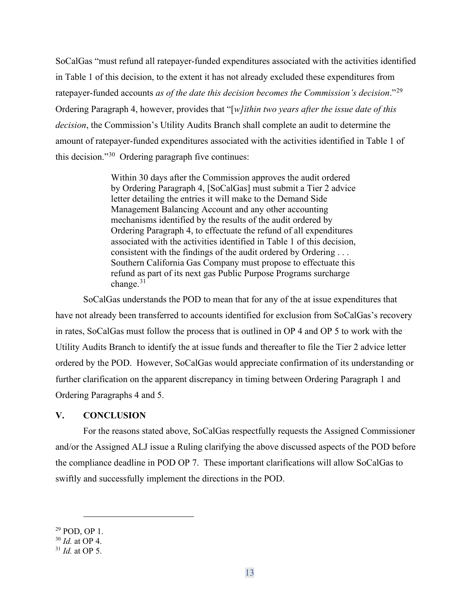SoCalGas "must refund all ratepayer-funded expenditures associated with the activities identified in Table 1 of this decision, to the extent it has not already excluded these expenditures from ratepayer-funded accounts *as of the date this decision becomes the Commission's decision*."[29](#page-13-0)  Ordering Paragraph 4, however, provides that "[*w]ithin two years after the issue date of this decision*, the Commission's Utility Audits Branch shall complete an audit to determine the amount of ratepayer-funded expenditures associated with the activities identified in Table 1 of this decision."[30](#page-13-1) Ordering paragraph five continues:

> Within 30 days after the Commission approves the audit ordered by Ordering Paragraph 4, [SoCalGas] must submit a Tier 2 advice letter detailing the entries it will make to the Demand Side Management Balancing Account and any other accounting mechanisms identified by the results of the audit ordered by Ordering Paragraph 4, to effectuate the refund of all expenditures associated with the activities identified in Table 1 of this decision, consistent with the findings of the audit ordered by Ordering . . . Southern California Gas Company must propose to effectuate this refund as part of its next gas Public Purpose Programs surcharge change.<sup>[31](#page-13-2)</sup>

SoCalGas understands the POD to mean that for any of the at issue expenditures that have not already been transferred to accounts identified for exclusion from SoCalGas's recovery in rates, SoCalGas must follow the process that is outlined in OP 4 and OP 5 to work with the Utility Audits Branch to identify the at issue funds and thereafter to file the Tier 2 advice letter ordered by the POD. However, SoCalGas would appreciate confirmation of its understanding or further clarification on the apparent discrepancy in timing between Ordering Paragraph 1 and Ordering Paragraphs 4 and 5.

#### **V. CONCLUSION**

For the reasons stated above, SoCalGas respectfully requests the Assigned Commissioner and/or the Assigned ALJ issue a Ruling clarifying the above discussed aspects of the POD before the compliance deadline in POD OP 7. These important clarifications will allow SoCalGas to swiftly and successfully implement the directions in the POD.

<span id="page-13-0"></span><sup>29</sup> POD, OP 1.

<span id="page-13-1"></span><sup>30</sup> *Id.* at OP 4.

<span id="page-13-2"></span><sup>31</sup> *Id.* at OP 5.